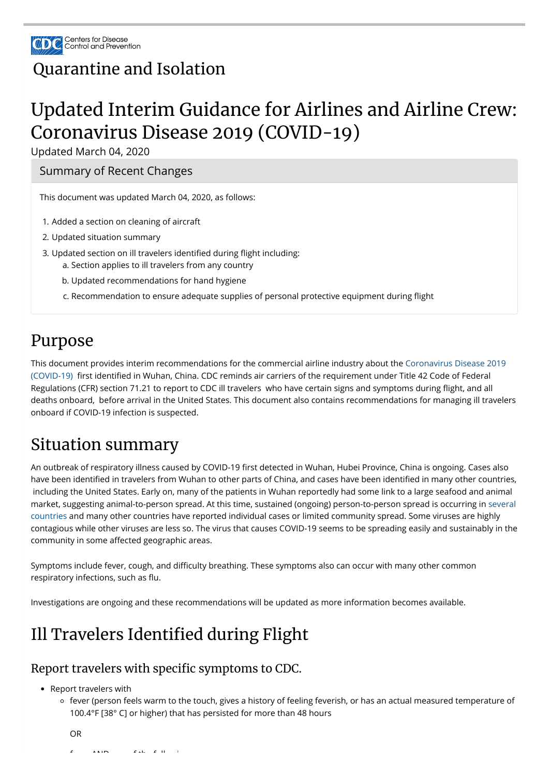

### [Quarantine](https://www.cdc.gov/quarantine/index.html) and Isolation

# Updated Interim Guidance for Airlines and Airline Crew: Coronavirus Disease 2019 (COVID-19)

Updated March 04, 2020

# Purpose

[This document provides interim recommendations for the commercial airline industry about the Coronavirus Disease 2019](https://www.cdc.gov/coronavirus/2019-ncov/index.html) (COVID-19) first identified in Wuhan, China. CDC reminds air carriers of the requirement under Title 42 Code of Federal Regulations (CFR) section 71.21 to report to CDC ill travelers who have certain signs and symptoms during flight, and all deaths onboard, before arrival in the United States. This document also contains recommendations for managing ill travelers onboard if COVID-19 infection is suspected.

### Situation summary

An outbreak of respiratory illness caused by COVID-19 first detected in Wuhan, Hubei Province, China is ongoing. Cases also have been identified in travelers from Wuhan to other parts of China, and cases have been identified in many other countries, including the United States. Early on, many of the patients in Wuhan reportedly had some link to a large seafood and animal [market, suggesting animal-to-person spread. At this time, sustained \(ongoing\) person-to-person spread is occurring in several](https://www.cdc.gov/coronavirus/2019-ncov/travelers/index.html) countries and many other countries have reported individual cases or limited community spread. Some viruses are highly contagious while other viruses are less so. The virus that causes COVID-19 seems to be spreading easily and sustainably in the community in some affected geographic areas.

Symptoms include fever, cough, and difficulty breathing. These symptoms also can occur with many other common respiratory infections, such as flu.

- Report travelers with
	- fever (person feels warm to the touch, gives a history of feeling feverish, or has an actual measured temperature of 100.4°F [38° C] or higher) that has persisted for more than 48 hours
- 1. Added a section on cleaning of aircraft
- 2. Updated situation summary
- 3. Updated section on ill travelers identified during flight including:
	- a. Section applies to ill travelers from any country
	- b. Updated recommendations for hand hygiene
	- c. Recommendation to ensure adequate supplies of personal protective equipment during flight

Investigations are ongoing and these recommendations will be updated as more information becomes available.

## Ill Travelers Identified during Flight

### Report travelers with specific symptoms to CDC.

OR

 $f(x) = \frac{1}{2} \int_{0}^{1} f(x) \, dx \, dx \, dx \, dx$ 

Summary of Recent Changes

This document was updated March 04, 2020, as follows: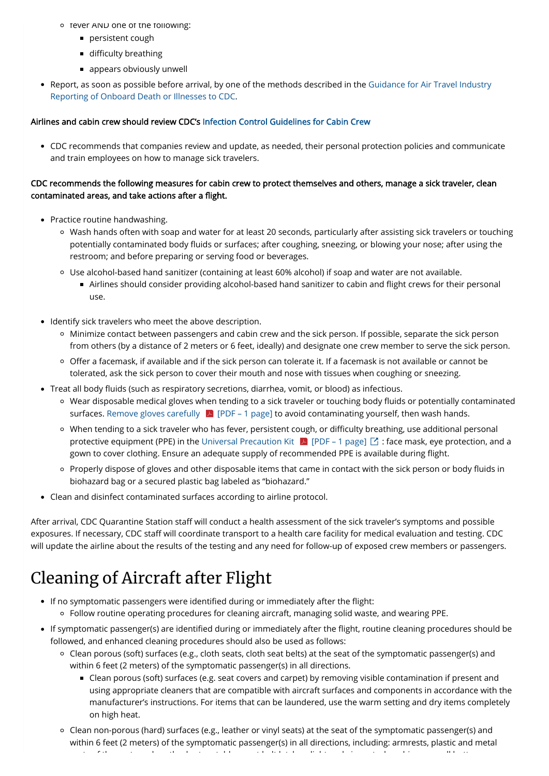- o fever AND one of the following:
	- **persistent cough**
	- $\blacksquare$  difficulty breathing
	- appears obviously unwell
- [Report, as soon as possible before arrival, by one of the methods described in the Guidance for Air Travel Industry](https://www.cdc.gov/quarantine/air/reporting-deaths-illness/guidance-reporting-onboard-deaths-illnesses.html) Reporting of Onboard Death or Illnesses to CDC.

### CDC recommends the following measures for cabin crew to protect themselves and others, manage a sick traveler, clean contaminated areas, and take actions after a flight.

#### Airlines and cabin crew should review CDC's [Infection Control Guidelines for Cabin Crew](https://www.cdc.gov/quarantine/air/managing-sick-travelers/commercial-aircraft/infection-control-cabin-crew.html)

CDC recommends that companies review and update, as needed, their personal protection policies and communicate and train employees on how to manage sick travelers.

- Practice routine handwashing.
	- Wash hands often with soap and water for at least 20 seconds, particularly after assisting sick travelers or touching potentially contaminated body fluids or surfaces; after coughing, sneezing, or blowing your nose; after using the restroom; and before preparing or serving food or beverages.
	- Use alcohol-based hand sanitizer (containing at least 60% alcohol) if soap and water are not available.
		- Airlines should consider providing alcohol-based hand sanitizer to cabin and flight crews for their personal use.
- Identify sick travelers who meet the above description.
	- Minimize contact between passengers and cabin crew and the sick person. If possible, separate the sick person from others (by a distance of 2 meters or 6 feet, ideally) and designate one crew member to serve the sick person.
	- o Offer a facemask, if available and if the sick person can tolerate it. If a facemask is not available or cannot be tolerated, ask the sick person to cover their mouth and nose with tissues when coughing or sneezing.
- Treat all body fluids (such as respiratory secretions, diarrhea, vomit, or blood) as infectious.
	- o Wear disposable medical gloves when tending to a sick traveler or touching body fluids or potentially contaminated surfaces. Remove gloves carefully  $\|\mathcal{A}\|$  [PDF – 1 page] to avoid contaminating yourself, then wash hands.
	- When tending to a sick traveler who has fever, persistent cough, or difficulty breathing, use additional personal protective equipment (PPE) in the Universal Precaution Kit  $\|A\|$  [PDF – 1 page]  $\Box$  : face mask, eye protection, and a gown to cover clothing. Ensure an adequate supply of recommended PPE is available during flight.
	- o Properly dispose of gloves and other disposable items that came in contact with the sick person or body fluids in biohazard bag or a secured plastic bag labeled as "biohazard."
- Clean and disinfect contaminated surfaces according to airline protocol.

After arrival, CDC Quarantine Station staff will conduct a health assessment of the sick traveler's symptoms and possible exposures. If necessary, CDC staff will coordinate transport to a health care facility for medical evaluation and testing. CDC will update the airline about the results of the testing and any need for follow-up of exposed crew members or passengers.

- If no symptomatic passengers were identified during or immediately after the flight:
	- Follow routine operating procedures for cleaning aircraft, managing solid waste, and wearing PPE.
- If symptomatic passenger(s) are identified during or immediately after the flight, routine cleaning procedures should be followed, and enhanced cleaning procedures should also be used as follows:
	- Clean porous (soft) surfaces (e.g., cloth seats, cloth seat belts) at the seat of the symptomatic passenger(s) and within 6 feet (2 meters) of the symptomatic passenger(s) in all directions.
		- Clean porous (soft) surfaces (e.g. seat covers and carpet) by removing visible contamination if present and using appropriate cleaners that are compatible with aircraft surfaces and components in accordance with the manufacturer's instructions. For items that can be laundered, use the warm setting and dry items completely on high heat.
	- Clean non-porous (hard) surfaces (e.g., leather or vinyl seats) at the seat of the symptomatic passenger(s) and within 6 feet (2 meters) of the symptomatic passenger(s) in all directions, including: armrests, plastic and metal

t f f th t d t d t d t d t d t d t bi le t bi le t bi le t d t t le t d t t d i t le t d t t le t le t le t le<br>The training

### Cleaning of Aircraft after Flight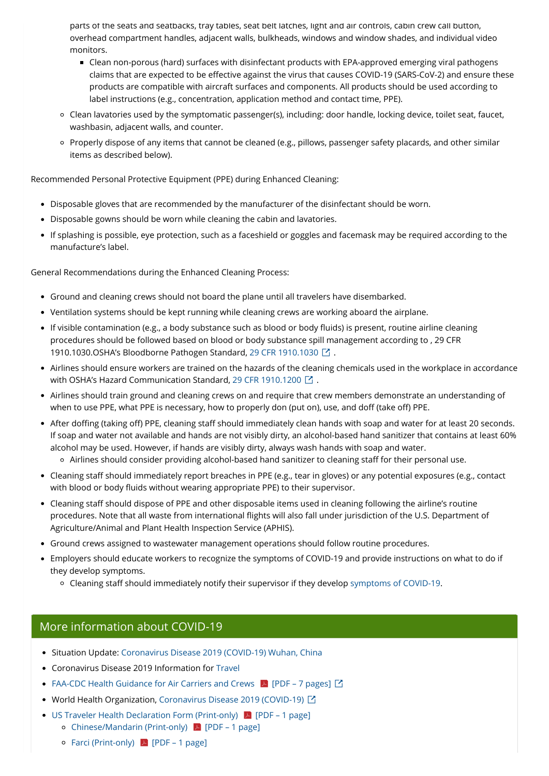parts of the seats and seatbacks, tray tables, seat belt latches, light and air controls, cabin crew call button, overhead compartment handles, adjacent walls, bulkheads, windows and window shades, and individual video monitors.

- Clean non-porous (hard) surfaces with disinfectant products with EPA-approved emerging viral pathogens claims that are expected to be effective against the virus that causes COVID-19 (SARS-CoV-2) and ensure these products are compatible with aircraft surfaces and components. All products should be used according to label instructions (e.g., concentration, application method and contact time, PPE).
- Clean lavatories used by the symptomatic passenger(s), including: door handle, locking device, toilet seat, faucet, washbasin, adjacent walls, and counter.
- Properly dispose of any items that cannot be cleaned (e.g., pillows, passenger safety placards, and other similar items as described below).

- Ground and cleaning crews should not board the plane until all travelers have disembarked.
- Ventilation systems should be kept running while cleaning crews are working aboard the airplane.
- If visible contamination (e.g., a body substance such as blood or body fluids) is present, routine airline cleaning procedures should be followed based on blood or body substance spill management according to , 29 CFR 1910.1030.OSHA's Bloodborne Pathogen Standard, [29 CFR 1910.1030](https://www.osha.gov/laws-regs/regulations/standardnumber/1910/1910.1030)  $\boxtimes$  .
- Airlines should ensure workers are trained on the hazards of the cleaning chemicals used in the workplace in accordance with OSHA's Hazard Communication Standard, [29 CFR 1910.1200](https://www.osha.gov/laws-regs/regulations/standardnumber/1910/1910.1200)  $\boxtimes$  .
- Airlines should train ground and cleaning crews on and require that crew members demonstrate an understanding of when to use PPE, what PPE is necessary, how to properly don (put on), use, and doff (take off) PPE.
- After doffing (taking off) PPE, cleaning staff should immediately clean hands with soap and water for at least 20 seconds. If soap and water not available and hands are not visibly dirty, an alcohol-based hand sanitizer that contains at least 60% alcohol may be used. However, if hands are visibly dirty, always wash hands with soap and water.
	- o Airlines should consider providing alcohol-based hand sanitizer to cleaning staff for their personal use.
- Cleaning staff should immediately report breaches in PPE (e.g., tear in gloves) or any potential exposures (e.g., contact with blood or body fluids without wearing appropriate PPE) to their supervisor.
- Cleaning staff should dispose of PPE and other disposable items used in cleaning following the airline's routine procedures. Note that all waste from international flights will also fall under jurisdiction of the U.S. Department of Agriculture/Animal and Plant Health Inspection Service (APHIS).
- Ground crews assigned to wastewater management operations should follow routine procedures.
- Employers should educate workers to recognize the symptoms of COVID-19 and provide instructions on what to do if they develop symptoms.
	- o Cleaning staff should immediately notify their supervisor if they develop [symptoms of COVID-19.](https://www.cdc.gov/coronavirus/2019-ncov/about/symptoms.html)

Recommended Personal Protective Equipment (PPE) during Enhanced Cleaning:

- Disposable gloves that are recommended by the manufacturer of the disinfectant should be worn.
- Disposable gowns should be worn while cleaning the cabin and lavatories.
- If splashing is possible, eye protection, such as a faceshield or goggles and facemask may be required according to the manufacture's label.

General Recommendations during the Enhanced Cleaning Process:

- Situation Update: [Coronavirus Disease 2019 \(COVID-19\) Wuhan, China](https://www.cdc.gov/coronavirus/2019-ncov/index.html)
- Coronavirus Disease 2019 Information for [Travel](https://www.cdc.gov/coronavirus/2019-ncov/travelers/index.html)
- FAA-CDC Health Guidance for Air Carriers and Crews [A] [PDF 7 pages]  $\boxtimes$
- World Health Organization, [Coronavirus Disease 2019 \(COVID-19\)](https://www.who.int/health-topics/coronavirus) *囗*
- US Traveler Health Declaration Form (Print-only)  $\Box$  [PDF 1 page]
	- Chinese/Mandarin (Print-only)  $\triangleright$  [PDF 1 page]
	- Farci (Print-only)  $\sqrt{P}$  [PDF 1 page]

### More information about COVID-19